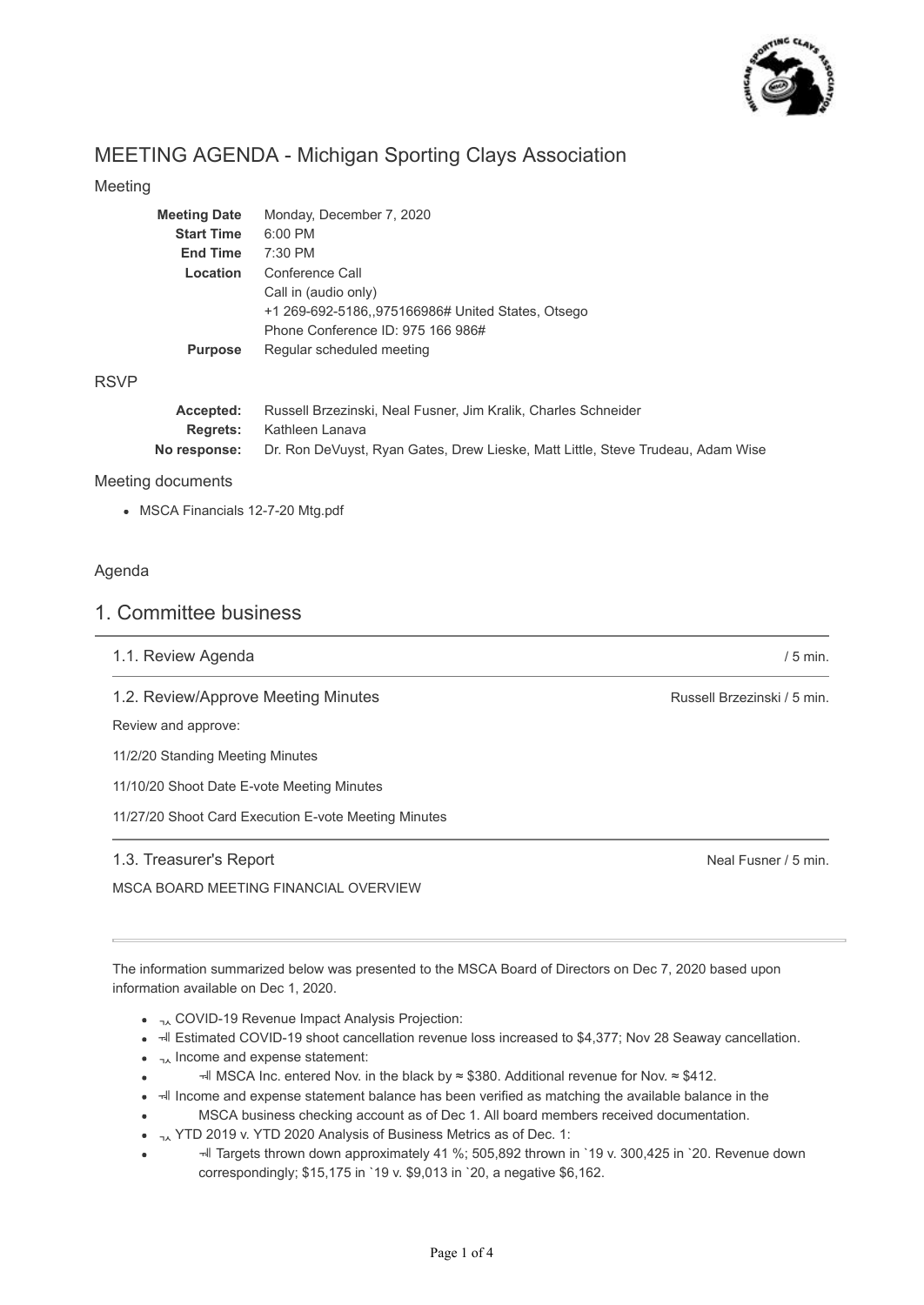

# MEETING AGENDA - Michigan Sporting Clays Association

### Meeting

| <b>Meeting Date</b> | Monday, December 7, 2020                                       |  |  |
|---------------------|----------------------------------------------------------------|--|--|
| <b>Start Time</b>   | $6:00$ PM                                                      |  |  |
| <b>End Time</b>     | $7:30$ PM                                                      |  |  |
| Location            | Conference Call                                                |  |  |
|                     | Call in (audio only)                                           |  |  |
|                     | +1 269-692-5186,,975166986# United States, Otsego              |  |  |
|                     | Phone Conference ID: 975 166 986#                              |  |  |
| <b>Purpose</b>      | Regular scheduled meeting                                      |  |  |
|                     |                                                                |  |  |
|                     |                                                                |  |  |
| Accepted:           | Russell Brzezinski, Neal Fusner, Jim Kralik, Charles Schneider |  |  |

**Regrets: No response:** Kathleen Lanava Dr. Ron DeVuyst, Ryan Gates, Drew Lieske, Matt Little, Steve Trudeau, Adam Wise

Meeting documents

MSCA Financials 12-7-20 Mtg.pdf

#### Agenda

RSVP

## 1. Committee business

|  |  |  | 1.1. Review Agenda |
|--|--|--|--------------------|
|--|--|--|--------------------|

1.2. Review/Approve Meeting Minutes

Review and approve:

11/2/20 Standing Meeting Minutes

11/10/20 Shoot Date E-vote Meeting Minutes

11/27/20 Shoot Card Execution E-vote Meeting Minutes

### 1.3. Treasurer's Report

MSCA BOARD MEETING FINANCIAL OVERVIEW

Russell Brzezinski / 5 min.

/ 5 min.

Neal Fusner / 5 min.

The information summarized below was presented to the MSCA Board of Directors on Dec 7, 2020 based upon information available on Dec 1, 2020.

- $\bullet$   $\lambda$  COVID-19 Revenue Impact Analysis Projection:
- I HI Estimated COVID-19 shoot cancellation revenue loss increased to \$4,377; Nov 28 Seaway cancellation.
- $\bullet$   $\overline{\phantom{a}}$ , Income and expense statement:
- MSCA Inc. entered Nov. in the black by ≈ \$380. Additional revenue for Nov. ≈ \$412.
- $\bullet$   $\overline{\phantom{a}}$  Income and expense statement balance has been verified as matching the available balance in the
- MSCA business checking account as of Dec 1. All board members received documentation.
- $_{74}$  YTD 2019 v. YTD 2020 Analysis of Business Metrics as of Dec. 1:  $\bullet$
- Targets thrown down approximately 41 %; 505,892 thrown in `19 v. 300,425 in `20. Revenue down correspondingly; \$15,175 in `19 v. \$9,013 in `20, a negative \$6,162.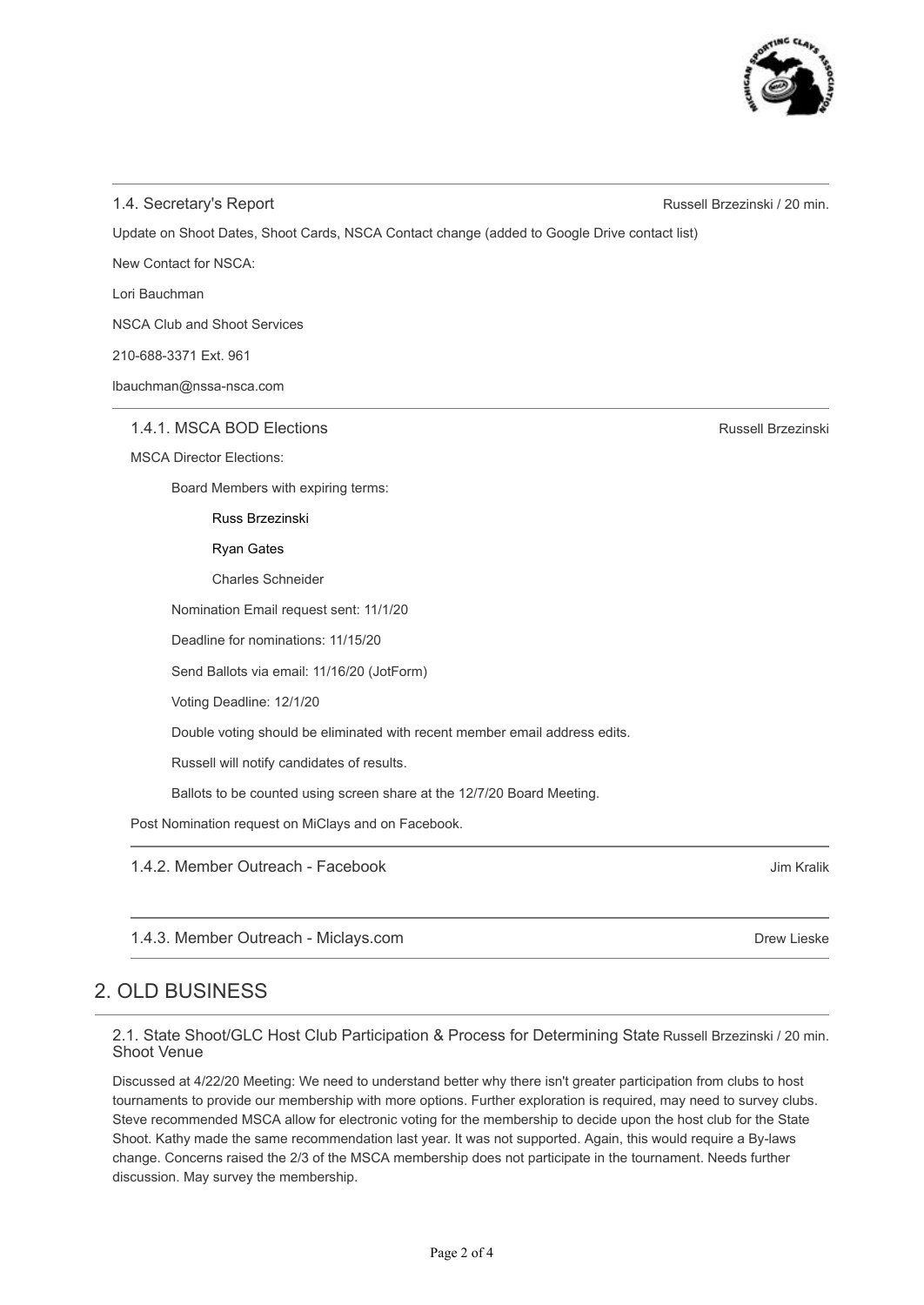## 1.4. Secretary's Report

Update on Shoot Dates, Shoot Cards, NSCA Contact change (added to Google Drive contact list)

New Contact for NSCA:

Lori Bauchman

NSCA Club and Shoot Services

210-688-3371 Ext. 961

lbauchman@nssa-nsca.com

1.4.1. MSCA BOD Elections

MSCA Director Elections:

Board Members with expiring terms:

Russ Brzezinski

Ryan Gates

Charles Schneider

Nomination Email request sent: 11/1/20

Deadline for nominations: 11/15/20

Send Ballots via email: 11/16/20 (JotForm)

Voting Deadline: 12/1/20

Double voting should be eliminated with recent member email address edits.

Russell will notify candidates of results.

Ballots to be counted using screen share at the 12/7/20 Board Meeting.

Post Nomination request on MiClays and on Facebook.

1.4.2. Member Outreach - Facebook

1.4.3. Member Outreach - Miclays.com

# 2. OLD BUSINESS

2.1. State Shoot/GLC Host Club Participation & Process for Determining State Russell Brzezinski / 20 min. Shoot Venue

Discussed at 4/22/20 Meeting: We need to understand better why there isn't greater participation from clubs to host tournaments to provide our membership with more options. Further exploration is required, may need to survey clubs. Steve recommended MSCA allow for electronic voting for the membership to decide upon the host club for the State Shoot. Kathy made the same recommendation last year. It was not supported. Again, this would require a By-laws change. Concerns raised the 2/3 of the MSCA membership does not participate in the tournament. Needs further discussion. May survey the membership.

Russell Brzezinski / 20 min.

Russell Brzezinski

Jim Kralik

Drew Lieske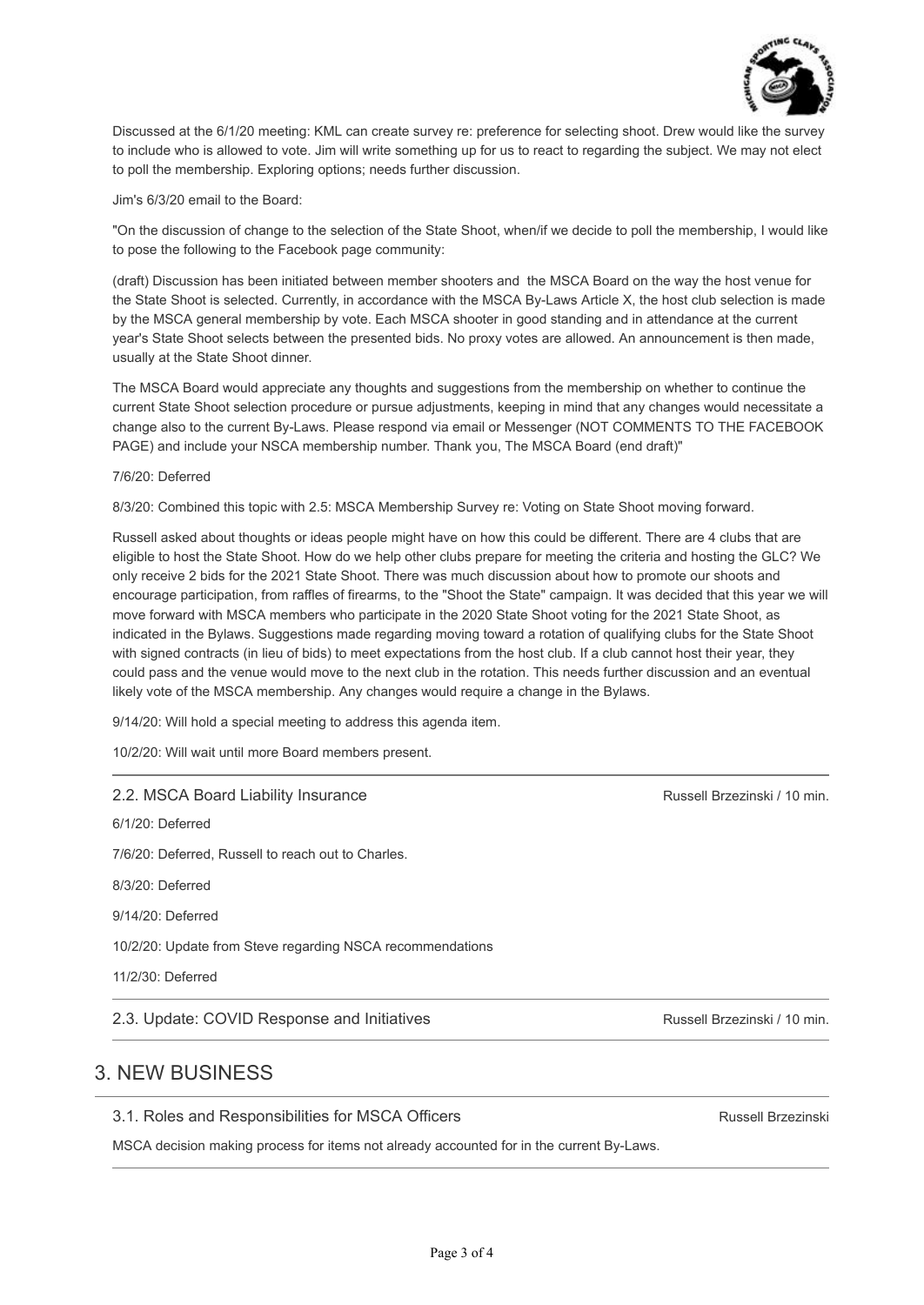

Discussed at the 6/1/20 meeting: KML can create survey re: preference for selecting shoot. Drew would like the survey to include who is allowed to vote. Jim will write something up for us to react to regarding the subject. We may not elect to poll the membership. Exploring options; needs further discussion.

Jim's 6/3/20 email to the Board:

"On the discussion of change to the selection of the State Shoot, when/if we decide to poll the membership, I would like to pose the following to the Facebook page community:

(draft) Discussion has been initiated between member shooters and the MSCA Board on the way the host venue for the State Shoot is selected. Currently, in accordance with the MSCA By-Laws Article X, the host club selection is made by the MSCA general membership by vote. Each MSCA shooter in good standing and in attendance at the current year's State Shoot selects between the presented bids. No proxy votes are allowed. An announcement is then made, usually at the State Shoot dinner.

The MSCA Board would appreciate any thoughts and suggestions from the membership on whether to continue the current State Shoot selection procedure or pursue adjustments, keeping in mind that any changes would necessitate a change also to the current By-Laws. Please respond via email or Messenger (NOT COMMENTS TO THE FACEBOOK PAGE) and include your NSCA membership number. Thank you, The MSCA Board (end draft)"

7/6/20: Deferred

8/3/20: Combined this topic with 2.5: MSCA Membership Survey re: Voting on State Shoot moving forward.

Russell asked about thoughts or ideas people might have on how this could be different. There are 4 clubs that are eligible to host the State Shoot. How do we help other clubs prepare for meeting the criteria and hosting the GLC? We only receive 2 bids for the 2021 State Shoot. There was much discussion about how to promote our shoots and encourage participation, from raffles of firearms, to the "Shoot the State" campaign. It was decided that this year we will move forward with MSCA members who participate in the 2020 State Shoot voting for the 2021 State Shoot, as indicated in the Bylaws. Suggestions made regarding moving toward a rotation of qualifying clubs for the State Shoot with signed contracts (in lieu of bids) to meet expectations from the host club. If a club cannot host their year, they could pass and the venue would move to the next club in the rotation. This needs further discussion and an eventual likely vote of the MSCA membership. Any changes would require a change in the Bylaws.

9/14/20: Will hold a special meeting to address this agenda item.

10/2/20: Will wait until more Board members present.

#### 2.2. MSCA Board Liability Insurance

6/1/20: Deferred 7/6/20: Deferred, Russell to reach out to Charles. 8/3/20: Deferred 9/14/20: Deferred

10/2/20: Update from Steve regarding NSCA recommendations

11/2/30: Deferred

2.3. Update: COVID Response and Initiatives

## 3. NEW BUSINESS

3.1. Roles and Responsibilities for MSCA Officers

MSCA decision making process for items not already accounted for in the current By-Laws.

Russell Brzezinski / 10 min.

Russell Brzezinski / 10 min.

Russell Brzezinski